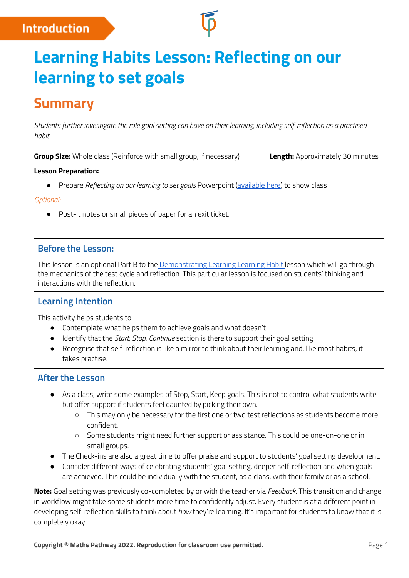# **Introduction**

# **Learning Habits Lesson: Reflecting on our learning to set goals**

# **Summary**

Students further investigate the role goal setting can have on their learning, including self-reflection as a practised *habit.*

**Group Size:** Whole class (Reinforce with small group, if necessary) **Length:** Approximately 30 minutes

#### **Lesson Preparation:**

● Prepare *Reflecting on our learning to set goals* Powerpoint [\(available](https://mpcontent.blob.core.windows.net/public/Reflecting%20on%20our%20learning%20to%20set%20goals.pptx) here) to show class

#### *Optional:*

● Post-it notes or small pieces of paper for an exit ticket.

## **Before the Lesson:**

This lesson is an optional Part B to the [Demonstrating](https://help.mathspathway.com/hc/en-us/articles/360000021148-Learning-Habits-lessons-Demonstrating-learning) Learning Learning Habit lesson which will go through the mechanics of the test cycle and reflection. This particular lesson is focused on students' thinking and interactions with the reflection.

## **Learning Intention**

This activity helps students to:

- Contemplate what helps them to achieve goals and what doesn't
- Identify that the *Start, Stop, Continue* section is there to support their goal setting
- Recognise that self-reflection is like a mirror to think about their learning and, like most habits, it takes practise.

### **After the Lesson**

- As a class, write some examples of Stop, Start, Keep goals. This is not to control what students write but offer support if students feel daunted by picking their own.
	- This may only be necessary for the first one or two test reflections as students become more confident.
	- Some students might need further support or assistance. This could be one-on-one or in small groups.
- The Check-ins are also a great time to offer praise and support to students' goal setting development.
- Consider different ways of celebrating students' goal setting, deeper self-reflection and when goals are achieved. This could be individually with the student, as a class, with their family or as a school.

**Note:** Goal setting was previously co-completed by or with the teacher via *Feedback*. This transition and change in workflow might take some students more time to confidently adjust. Every student is at a different point in developing self-reflection skills to think about *how* they're learning. It's important for students to know that it is completely okay.